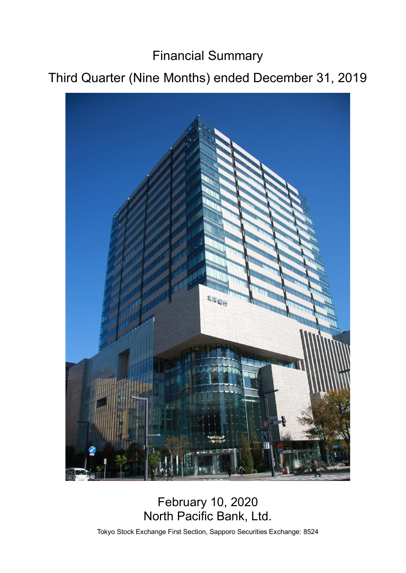Financial Summary

# Third Quarter (Nine Months) ended December 31, 2019



## February 10, 2020 North Pacific Bank, Ltd.

Tokyo Stock Exchange First Section, Sapporo Securities Exchange: 8524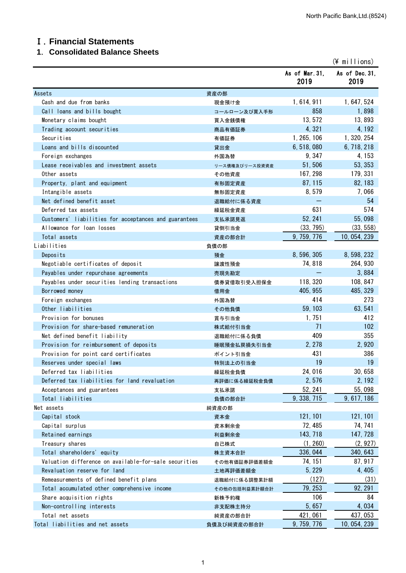## Ⅰ.**Financial Statements**

## **1**.**Consolidated Balance Sheets**

|                                                       |                |                       | $(*)$ millions)        |
|-------------------------------------------------------|----------------|-----------------------|------------------------|
|                                                       |                | As of Mar 31,<br>2019 | As of Dec. 31,<br>2019 |
| Assets                                                | 資産の部           |                       |                        |
| Cash and due from banks                               | 現金預け金          | 1, 614, 911           | 1, 647, 524            |
| Call loans and bills bought                           | コールローン及び買入手形   | 858                   | 1,898                  |
| Monetary claims bought                                | 買入金銭債権         | 13,572                | 13,893                 |
| Trading account securities                            | 商品有価証券         | 4,321                 | 4, 192                 |
| Securities                                            | 有価証券           | 1, 265, 106           | 1, 320, 254            |
| Loans and bills discounted                            | 貸出金            | 6, 518, 080           | 6, 718, 218            |
| Foreign exchanges                                     | 外国為替           | 9,347                 | 4, 153                 |
| Lease receivables and investment assets               | リース債権及びリース投資資産 | 51,506                | 53, 353                |
| Other assets                                          | その他資産          | 167, 298              | 179, 331               |
| Property, plant and equipment                         | 有形固定資産         | 87, 115               | 82, 183                |
| Intangible assets                                     | 無形固定資産         | 8,579                 | 7,066                  |
| Net defined benefit asset                             | 退職給付に係る資産      |                       | 54                     |
| Deferred tax assets                                   | 繰延税金資産         | 631                   | 574                    |
| Customers' liabilities for acceptances and guarantees | 支払承諾見返         | 52, 241               | 55,098                 |
| Allowance for loan losses                             | 貸倒引当金          | (33, 795)             | (33, 558)              |
| Total assets                                          | 資産の部合計         | 9, 759, 776           | 10, 054, 239           |
| Liabilities                                           | 負債の部           |                       |                        |
| Deposits                                              | 預金             | 8, 596, 305           | 8, 598, 232            |
| Negotiable certificates of deposit                    | 譲渡性預金          | 74, 818               | 264, 930               |
| Payables under repurchase agreements                  | 売現先勘定          |                       | 3,884                  |
| Payables under securities lending transactions        | 債券貸借取引受入担保金    | 118, 320              | 108, 847               |
| Borrowed money                                        | 借用金            | 405, 955              | 485, 329               |
| Foreign exchanges                                     | 外国為替           | 414                   | 273                    |
| Other liabilities                                     | その他負債          | 59, 103               | 63, 541                |
| Provision for bonuses                                 | 賞与引当金          | 1,751                 | 412                    |
| Provision for share-based remuneration                | 株式給付引当金        | 71                    | 102                    |
| Net defined benefit liability                         | 退職給付に係る負債      | 409                   | 355                    |
| Provision for reimbursement of deposits               | 睡眠預金払戻損失引当金    | 2, 278                | 2,920                  |
| Provision for point card certificates                 | ポイント引当金        | 431                   | 386                    |
| Reserves under special laws                           | 特別法上の引当金       | 19                    | 19                     |
| Deferred tax liabilities                              | 繰延税金負債         | 24,016                | 30,658                 |
| Deferred tax liabilities for land revaluation         | 再評価に係る繰延税金負債   | 2,576                 | 2, 192                 |
| Acceptances and guarantees                            | 支払承諾           | 52, 241               | 55,098                 |
| Total liabilities                                     | 負債の部合計         | 9, 338, 715           | 9, 617, 186            |
| Net assets                                            | 純資産の部          |                       |                        |
| Capital stock                                         | 資本金            | 121, 101              | 121, 101               |
| Capital surplus                                       | 資本剰余金          | 72, 485               | 74, 741                |
| Retained earnings                                     | 利益剰余金          | 143, 718              | 147, 728               |
| Treasury shares                                       | 自己株式           | (1, 260)              | (2, 927)               |
| Total shareholders' equity                            | 株主資本合計         | 336, 044              | 340, 643               |
| Valuation difference on available-for-sale securities | その他有価証券評価差額金   | 74, 151               | 87, 917                |
| Revaluation reserve for land                          | 土地再評価差額金       | 5, 229                | 4, 405                 |
| Remeasurements of defined benefit plans               | 退職給付に係る調整累計額   | (127)                 | (31)                   |
| Total accumulated other comprehensive income          | その他の包括利益累計額合計  | 79, 253               | 92, 291                |
| Share acquisition rights                              | 新株予約権          | 106                   | 84                     |
| Non-controlling interests                             | 非支配株主持分        | 5,657                 | 4,034                  |
| Total net assets                                      | 純資産の部合計        | 421,061               | 437, 053               |
| Total liabilities and net assets                      | 負債及び純資産の部合計    | 9, 759, 776           | 10, 054, 239           |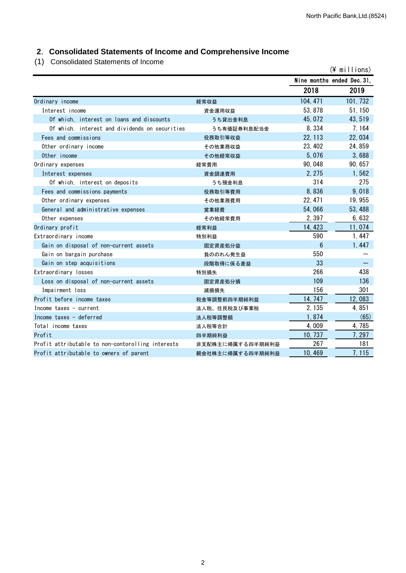## **2**.**Consolidated Statements of Income and Comprehensive Income**

(1) Consolidated Statements of Income

| 0011001100100 0101011101110 01 111001110          |                  |                            | $(*)$ millions) |
|---------------------------------------------------|------------------|----------------------------|-----------------|
|                                                   |                  | Nine months ended Dec. 31. |                 |
|                                                   |                  | 2018                       | 2019            |
| Ordinary income                                   | 経常収益             | 104, 471                   | 101, 732        |
| Interest income                                   | 資金運用収益           | 53, 878                    | 51, 150         |
| Of which, interest on loans and discounts         | うち貸出金利息          | 45,072                     | 43, 519         |
| Of which, interest and dividends on securities    | うち有価証券利息配当金      | 8,334                      | 7,164           |
| Fees and commissions                              | 役務取引等収益          | 22, 113                    | 22,034          |
| Other ordinary income                             | その他業務収益          | 23, 402                    | 24,859          |
| Other income                                      | その他経常収益          | 5,076                      | 3,688           |
| Ordinary expenses                                 | 経常費用             | 90,048                     | 90, 657         |
| Interest expenses                                 | 資金調達費用           | 2, 275                     | 1,562           |
| Of which, interest on deposits                    | うち預金利息           | 314                        | 275             |
| Fees and commissions payments                     | 役務取引等費用          | 8,836                      | 9,018           |
| Other ordinary expenses                           | その他業務費用          | 22, 471                    | 19,955          |
| General and administrative expenses               | 営業経費             | 54,066                     | 53, 488         |
| Other expenses                                    | その他経常費用          | 2,397                      | 6,632           |
| Ordinary profit                                   | 経常利益             | 14, 423                    | 11,074          |
| Extraordinary income                              | 特別利益             | 590                        | 1,447           |
| Gain on disposal of non-current assets            | 固定資産処分益          | $6\phantom{1}$             | 1,447           |
| Gain on bargain purchase                          | 負ののれん発生益         | 550                        |                 |
| Gain on step acquisitions                         | 段階取得に係る差益        | 33                         |                 |
| Extraordinary losses                              | 特別損失             | 266                        | 438             |
| Loss on disposal of non-current assets            | 固定資産処分損          | 109                        | 136             |
| Impairment loss                                   | 減損損失             | 156                        | 301             |
| Profit before income taxes                        | 税金等調整前四半期純利益     | 14, 747                    | 12,083          |
| Income taxes - current                            | 法人税、住民税及び事業税     | 2, 135                     | 4,851           |
| Income taxes - deferred                           | 法人税等調整額          | 1,874                      | (65)            |
| Total income taxes                                | 法人税等合計           | 4,009                      | 4,785           |
| Profit                                            | 四半期純利益           | 10, 737                    | 7, 297          |
| Profit attributable to non-contorolling interests | 非支配株主に帰属する四半期純利益 | 267                        | 181             |
| Profit attributable to owners of parent           | 親会社株主に帰属する四半期純利益 | 10,469                     | 7,115           |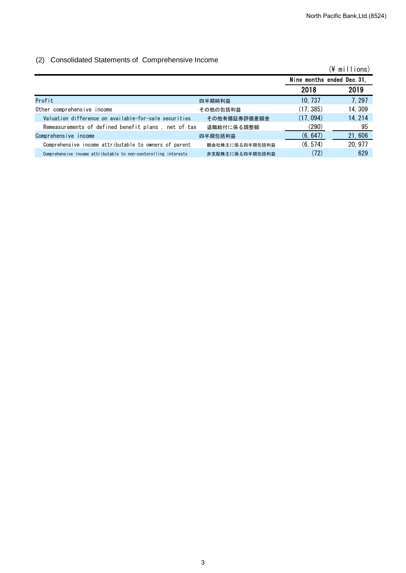## (2) Consolidated Statements of Comprehensive Income

|                                                                 |                 |                            | (¥ millions) |
|-----------------------------------------------------------------|-----------------|----------------------------|--------------|
|                                                                 |                 | Nine months ended Dec. 31, |              |
|                                                                 |                 | 2018                       | 2019         |
| Profit                                                          | 四半期純利益          | 10, 737                    | 7, 297       |
| Other comprehensive income                                      | その他の包括利益        | (17, 385)                  | 14, 309      |
| Valuation difference on available-for-sale securities           | その他有価証券評価差額金    | (17, 094)                  | 14, 214      |
| Remeasurements of defined benefit plans, net of tax             | 退職給付に係る調整額      | (290)                      | 95           |
| Comprehensive income                                            | 四半期包括利益         | (6, 647)                   | 21,606       |
| Comprehensive income attributable to owners of parent           | 親会社株主に係る四半期包括利益 | (6, 574)                   | 20, 977      |
| Comprehensive income attributable to non-contorolling interests | 非支配株主に係る四半期包括利益 | (72)                       | 629          |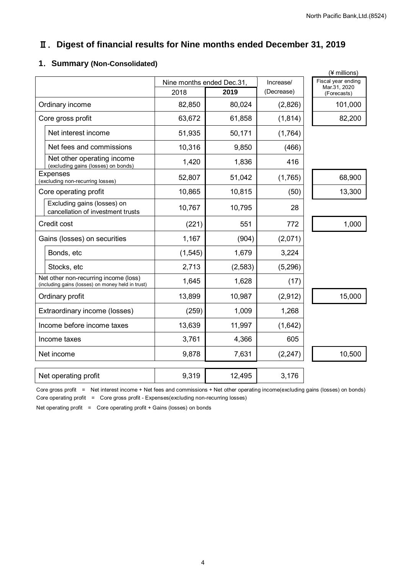## Ⅱ.**Digest of financial results for Nine months ended December 31, 2019**

## **1**.**Summary (Non-Consolidated)**

|                                                                                            |                           |          |            | (¥ millions)                       |
|--------------------------------------------------------------------------------------------|---------------------------|----------|------------|------------------------------------|
|                                                                                            | Nine months ended Dec.31, |          | Increase/  | Fiscal year ending<br>Mar.31, 2020 |
|                                                                                            | 2018                      | 2019     | (Decrease) | (Forecasts)                        |
| Ordinary income                                                                            | 82,850                    | 80,024   | (2,826)    | 101,000                            |
| Core gross profit                                                                          | 63,672                    | 61,858   | (1, 814)   | 82,200                             |
| Net interest income                                                                        | 51,935                    | 50,171   | (1,764)    |                                    |
| Net fees and commissions                                                                   | 10,316                    | 9,850    | (466)      |                                    |
| Net other operating income<br>(excluding gains (losses) on bonds)                          | 1,420                     | 1,836    | 416        |                                    |
| <b>Expenses</b><br>(excluding non-recurring losses)                                        | 52,807                    | 51,042   | (1,765)    | 68,900                             |
| Core operating profit                                                                      | 10,865                    | 10,815   | (50)       | 13,300                             |
| Excluding gains (losses) on<br>cancellation of investment trusts                           | 10,767                    | 10,795   | 28         |                                    |
| Credit cost                                                                                | (221)                     | 551      | 772        | 1,000                              |
| Gains (losses) on securities                                                               | 1,167                     | (904)    | (2,071)    |                                    |
| Bonds, etc                                                                                 | (1, 545)                  | 1,679    | 3,224      |                                    |
| Stocks, etc                                                                                | 2,713                     | (2, 583) | (5, 296)   |                                    |
| Net other non-recurring income (loss)<br>(including gains (losses) on money held in trust) | 1,645                     | 1,628    | (17)       |                                    |
| Ordinary profit                                                                            | 13,899                    | 10,987   | (2,912)    | 15,000                             |
| Extraordinary income (losses)                                                              | (259)                     | 1,009    | 1,268      |                                    |
| Income before income taxes                                                                 | 13,639                    | 11,997   | (1,642)    |                                    |
| Income taxes                                                                               | 3,761                     | 4,366    | 605        |                                    |
| Net income                                                                                 | 9,878                     | 7,631    | (2, 247)   | 10,500                             |
| Net operating profit                                                                       | 9,319                     | 12,495   | 3,176      |                                    |
|                                                                                            |                           |          |            |                                    |

Core gross profit = Net interest income + Net fees and commissions + Net other operating income(excluding gains (losses) on bonds) Core operating profit = Core gross profit - Expenses(excluding non-recurring losses)

Net operating profit = Core operating profit + Gains (losses) on bonds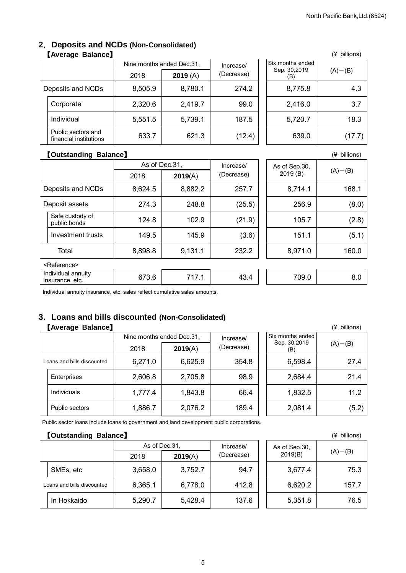#### **2**.**Deposits and NCDs (Non-Consolidated)** 【**Average Balance**】 (¥ billions)

| . .                                          |                           |         |            |                     |             |
|----------------------------------------------|---------------------------|---------|------------|---------------------|-------------|
|                                              | Nine months ended Dec.31, |         | Increase/  | Six months ended    |             |
|                                              | 2018                      | 2019(A) | (Decrease) | Sep. 30,2019<br>(B) | $(A)$ – (B) |
| Deposits and NCDs                            | 8,505.9                   | 8,780.1 | 274.2      | 8,775.8             | 4.3         |
| Corporate                                    | 2,320.6                   | 2,419.7 | 99.0       | 2,416.0             | 3.7         |
| Individual                                   | 5,551.5                   | 5,739.1 | 187.5      | 5,720.7             | 18.3        |
| Public sectors and<br>financial institutions | 633.7                     | 621.3   | (12.4)     | 639.0               | (17.7)      |

|                                         | (¥ pillions) |
|-----------------------------------------|--------------|
| Six months ended<br>Sep. 30,2019<br>(B) | $(A)$ – (B)  |
| 8,775.8                                 | 4.3          |
| 2,416.0                                 | 3.7          |
| 5,720.7                                 | 18.3         |
| 639.0                                   | (17.7)       |

#### 【**Outstanding Balance**】 (¥ billions)

|                                       | As of Dec.31, |         | Increase/  | As of Sep.30, |               |
|---------------------------------------|---------------|---------|------------|---------------|---------------|
|                                       | 2018          | 2019(A) | (Decrease) | 2019 (B)      | $(A)$ – $(B)$ |
| Deposits and NCDs                     | 8,624.5       | 8,882.2 | 257.7      | 8,714.1       | 168.1         |
| Deposit assets                        | 274.3         | 248.8   | (25.5)     | 256.9         | (8.0)         |
| Safe custody of<br>public bonds       | 124.8         | 102.9   | (21.9)     | 105.7         | (2.8)         |
| Investment trusts                     | 149.5         | 145.9   | (3.6)      | 151.1         | (5.1)         |
| Total                                 | 8,898.8       | 9,131.1 | 232.2      | 8,971.0       | 160.0         |
| <reference></reference>               |               |         |            |               |               |
| Individual annuity<br>insurance, etc. | 673.6         | 717.1   | 43.4       | 709.0         | 8.0           |

Individual annuity insurance, etc. sales reflect cumulative sales amounts.

## **3**.**Loans and bills discounted (Non-Consolidated)**

## 【Average Balance】

|                            |         | Nine months ended Dec.31, |            | Six months ended    |               |
|----------------------------|---------|---------------------------|------------|---------------------|---------------|
|                            | 2018    | 2019(A)                   | (Decrease) | Sep. 30,2019<br>(B) | $(A)$ – $(B)$ |
| Loans and bills discounted | 6,271.0 | 6,625.9                   | 354.8      | 6,598.4             | 27.4          |
| Enterprises                | 2,606.8 | 2,705.8                   | 98.9       | 2,684.4             | 21.4          |
| Individuals                | 1,777.4 | 1,843.8                   | 66.4       | 1,832.5             | 11.2          |
| <b>Public sectors</b>      | 1,886.7 | 2,076.2                   | 189.4      | 2,081.4             | (5.2)         |

|                                         | (¥ billions) |
|-----------------------------------------|--------------|
| Six months ended<br>Sep. 30,2019<br>(B) | $(A) - (B)$  |
| 6,598.4                                 | 27.4         |
| 2,684.4                                 | 21.4         |
| 1,832.5                                 | 11.2         |
| 2,081.4                                 | (5.2)        |

Public sector loans include loans to government and land development public corporations.

#### 【Outstanding Balance】 **and the contract of the contract of the contract of the contract of the contract of the contract of the contract of the contract of the contract of the contract of the contract of the contract of th**

|                            | As of Dec.31, |         | Increase/  | As of Sep.30, |             |
|----------------------------|---------------|---------|------------|---------------|-------------|
|                            | 2018          | 2019(A) | (Decrease) | 2019(B)       | $(A)$ – (B) |
| SMEs, etc                  | 3,658.0       | 3,752.7 | 94.7       | 3,677.4       | 75.3        |
| Loans and bills discounted | 6,365.1       | 6,778.0 | 412.8      | 6,620.2       | 157.7       |
| In Hokkaido                | 5,290.7       | 5,428.4 | 137.6      | 5,351.8       | 76.5        |

|                          | (* DIIIIONS) |
|--------------------------|--------------|
| As of Sep.30,<br>2019(B) | $(A)$ – (B)  |
| 3,677.4                  | 75.3         |
| 6,620.2                  | 157.7        |
| 5,351.8                  | 76.5         |